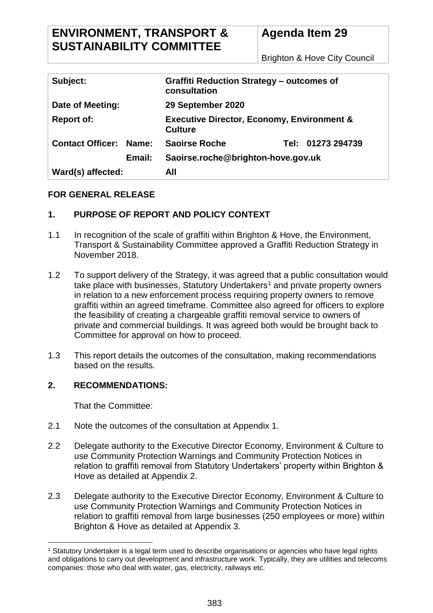# **ENVIRONMENT, TRANSPORT & SUSTAINABILITY COMMITTEE**

# **Agenda Item 29**

Brighton & Hove City Council

| Subject:                      |        | <b>Graffiti Reduction Strategy – outcomes of</b><br>consultation        |  |                   |
|-------------------------------|--------|-------------------------------------------------------------------------|--|-------------------|
| Date of Meeting:              |        | 29 September 2020                                                       |  |                   |
| <b>Report of:</b>             |        | <b>Executive Director, Economy, Environment &amp;</b><br><b>Culture</b> |  |                   |
| <b>Contact Officer: Name:</b> |        | <b>Saoirse Roche</b>                                                    |  | Tel: 01273 294739 |
|                               | Email: | Saoirse.roche@brighton-hove.gov.uk                                      |  |                   |
| Ward(s) affected:             |        | All                                                                     |  |                   |

# **FOR GENERAL RELEASE**

# **1. PURPOSE OF REPORT AND POLICY CONTEXT**

- 1.1 In recognition of the scale of graffiti within Brighton & Hove, the Environment, Transport & Sustainability Committee approved a Graffiti Reduction Strategy in November 2018.
- 1.2 To support delivery of the Strategy, it was agreed that a public consultation would take place with businesses, Statutory Undertakers<sup>1</sup> and private property owners in relation to a new enforcement process requiring property owners to remove graffiti within an agreed timeframe. Committee also agreed for officers to explore the feasibility of creating a chargeable graffiti removal service to owners of private and commercial buildings. It was agreed both would be brought back to Committee for approval on how to proceed.
- 1.3 This report details the outcomes of the consultation, making recommendations based on the results.

#### **2. RECOMMENDATIONS:**

That the Committee:

- 2.1 Note the outcomes of the consultation at Appendix 1.
- 2.2 Delegate authority to the Executive Director Economy, Environment & Culture to use Community Protection Warnings and Community Protection Notices in relation to graffiti removal from Statutory Undertakers' property within Brighton & Hove as detailed at Appendix 2.
- 2.3 Delegate authority to the Executive Director Economy, Environment & Culture to use Community Protection Warnings and Community Protection Notices in relation to graffiti removal from large businesses (250 employees or more) within Brighton & Hove as detailed at Appendix 3.

 $\overline{a}$ <sup>1</sup> Statutory Undertaker is a legal term used to describe organisations or agencies who have legal rights and obligations to carry out development and infrastructure work. Typically, they are utilities and telecoms companies: those who deal with water, gas, electricity, railways etc.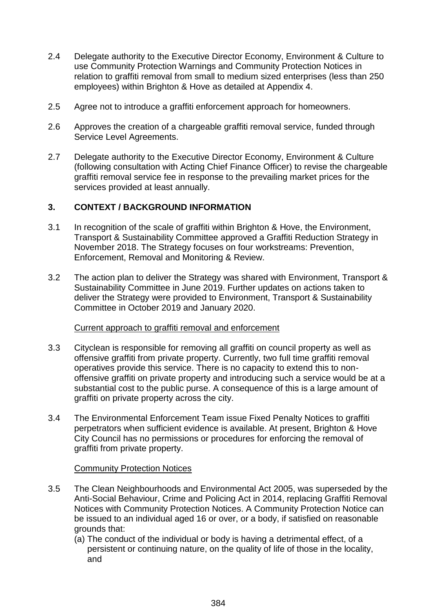- 2.4 Delegate authority to the Executive Director Economy, Environment & Culture to use Community Protection Warnings and Community Protection Notices in relation to graffiti removal from small to medium sized enterprises (less than 250 employees) within Brighton & Hove as detailed at Appendix 4.
- 2.5 Agree not to introduce a graffiti enforcement approach for homeowners.
- 2.6 Approves the creation of a chargeable graffiti removal service, funded through Service Level Agreements.
- 2.7 Delegate authority to the Executive Director Economy, Environment & Culture (following consultation with Acting Chief Finance Officer) to revise the chargeable graffiti removal service fee in response to the prevailing market prices for the services provided at least annually.

#### **3. CONTEXT / BACKGROUND INFORMATION**

- 3.1 In recognition of the scale of graffiti within Brighton & Hove, the Environment, Transport & Sustainability Committee approved a Graffiti Reduction Strategy in November 2018. The Strategy focuses on four workstreams: Prevention, Enforcement, Removal and Monitoring & Review.
- 3.2 The action plan to deliver the Strategy was shared with Environment, Transport & Sustainability Committee in June 2019. Further updates on actions taken to deliver the Strategy were provided to Environment, Transport & Sustainability Committee in October 2019 and January 2020.

#### Current approach to graffiti removal and enforcement

- 3.3 Cityclean is responsible for removing all graffiti on council property as well as offensive graffiti from private property. Currently, two full time graffiti removal operatives provide this service. There is no capacity to extend this to nonoffensive graffiti on private property and introducing such a service would be at a substantial cost to the public purse. A consequence of this is a large amount of graffiti on private property across the city.
- 3.4 The Environmental Enforcement Team issue Fixed Penalty Notices to graffiti perpetrators when sufficient evidence is available. At present, Brighton & Hove City Council has no permissions or procedures for enforcing the removal of graffiti from private property.

#### Community Protection Notices

- 3.5 The Clean Neighbourhoods and Environmental Act 2005, was superseded by the Anti-Social Behaviour, Crime and Policing Act in 2014, replacing Graffiti Removal Notices with Community Protection Notices. A Community Protection Notice can be issued to an individual aged 16 or over, or a body, if satisfied on reasonable grounds that:
	- (a) The conduct of the individual or body is having a detrimental effect, of a persistent or continuing nature, on the quality of life of those in the locality, and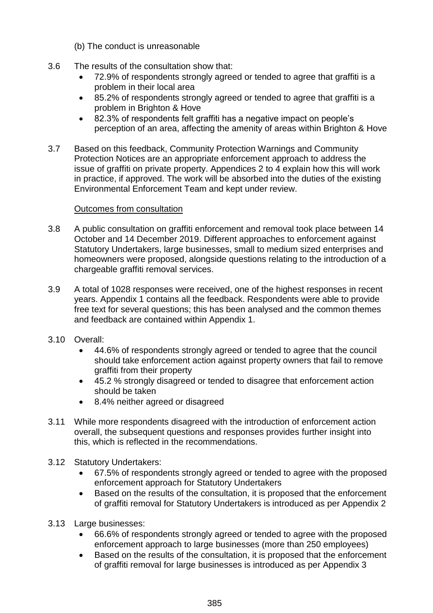- (b) The conduct is unreasonable
- 3.6 The results of the consultation show that:
	- 72.9% of respondents strongly agreed or tended to agree that graffiti is a problem in their local area
	- 85.2% of respondents strongly agreed or tended to agree that graffiti is a problem in Brighton & Hove
	- 82.3% of respondents felt graffiti has a negative impact on people's perception of an area, affecting the amenity of areas within Brighton & Hove
- 3.7 Based on this feedback, Community Protection Warnings and Community Protection Notices are an appropriate enforcement approach to address the issue of graffiti on private property. Appendices 2 to 4 explain how this will work in practice, if approved. The work will be absorbed into the duties of the existing Environmental Enforcement Team and kept under review.

#### Outcomes from consultation

- 3.8 A public consultation on graffiti enforcement and removal took place between 14 October and 14 December 2019. Different approaches to enforcement against Statutory Undertakers, large businesses, small to medium sized enterprises and homeowners were proposed, alongside questions relating to the introduction of a chargeable graffiti removal services.
- 3.9 A total of 1028 responses were received, one of the highest responses in recent years. Appendix 1 contains all the feedback. Respondents were able to provide free text for several questions; this has been analysed and the common themes and feedback are contained within Appendix 1.
- 3.10 Overall:
	- 44.6% of respondents strongly agreed or tended to agree that the council should take enforcement action against property owners that fail to remove graffiti from their property
	- 45.2 % strongly disagreed or tended to disagree that enforcement action should be taken
	- 8.4% neither agreed or disagreed
- 3.11 While more respondents disagreed with the introduction of enforcement action overall, the subsequent questions and responses provides further insight into this, which is reflected in the recommendations.
- 3.12 Statutory Undertakers:
	- 67.5% of respondents strongly agreed or tended to agree with the proposed enforcement approach for Statutory Undertakers
	- Based on the results of the consultation, it is proposed that the enforcement of graffiti removal for Statutory Undertakers is introduced as per Appendix 2
- 3.13 Large businesses:
	- 66.6% of respondents strongly agreed or tended to agree with the proposed enforcement approach to large businesses (more than 250 employees)
	- Based on the results of the consultation, it is proposed that the enforcement of graffiti removal for large businesses is introduced as per Appendix 3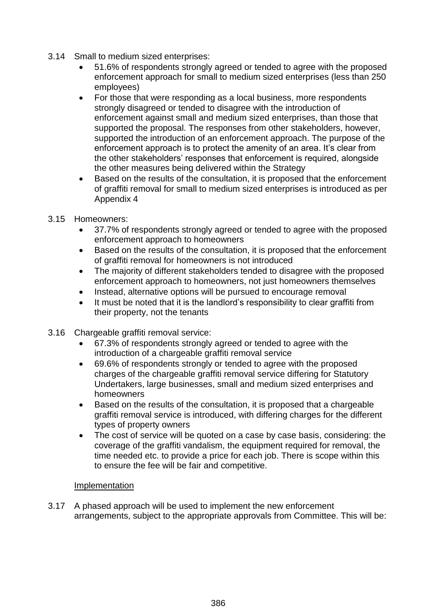- 3.14 Small to medium sized enterprises:
	- 51.6% of respondents strongly agreed or tended to agree with the proposed enforcement approach for small to medium sized enterprises (less than 250 employees)
	- For those that were responding as a local business, more respondents strongly disagreed or tended to disagree with the introduction of enforcement against small and medium sized enterprises, than those that supported the proposal. The responses from other stakeholders, however, supported the introduction of an enforcement approach. The purpose of the enforcement approach is to protect the amenity of an area. It's clear from the other stakeholders' responses that enforcement is required, alongside the other measures being delivered within the Strategy
	- Based on the results of the consultation, it is proposed that the enforcement of graffiti removal for small to medium sized enterprises is introduced as per Appendix 4
- 3.15 Homeowners:
	- 37.7% of respondents strongly agreed or tended to agree with the proposed enforcement approach to homeowners
	- Based on the results of the consultation, it is proposed that the enforcement of graffiti removal for homeowners is not introduced
	- The majority of different stakeholders tended to disagree with the proposed enforcement approach to homeowners, not just homeowners themselves
	- Instead, alternative options will be pursued to encourage removal
	- It must be noted that it is the landlord's responsibility to clear graffiti from their property, not the tenants
- 3.16 Chargeable graffiti removal service:
	- 67.3% of respondents strongly agreed or tended to agree with the introduction of a chargeable graffiti removal service
	- 69.6% of respondents strongly or tended to agree with the proposed charges of the chargeable graffiti removal service differing for Statutory Undertakers, large businesses, small and medium sized enterprises and homeowners
	- Based on the results of the consultation, it is proposed that a chargeable graffiti removal service is introduced, with differing charges for the different types of property owners
	- The cost of service will be quoted on a case by case basis, considering: the coverage of the graffiti vandalism, the equipment required for removal, the time needed etc. to provide a price for each job. There is scope within this to ensure the fee will be fair and competitive.

#### Implementation

3.17 A phased approach will be used to implement the new enforcement arrangements, subject to the appropriate approvals from Committee. This will be: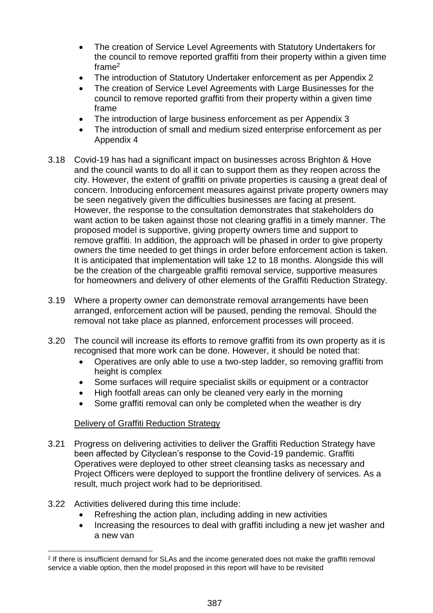- The creation of Service Level Agreements with Statutory Undertakers for the council to remove reported graffiti from their property within a given time frame<sup>2</sup>
- The introduction of Statutory Undertaker enforcement as per Appendix 2
- The creation of Service Level Agreements with Large Businesses for the council to remove reported graffiti from their property within a given time frame
- The introduction of large business enforcement as per Appendix 3
- The introduction of small and medium sized enterprise enforcement as per Appendix 4
- 3.18 Covid-19 has had a significant impact on businesses across Brighton & Hove and the council wants to do all it can to support them as they reopen across the city. However, the extent of graffiti on private properties is causing a great deal of concern. Introducing enforcement measures against private property owners may be seen negatively given the difficulties businesses are facing at present. However, the response to the consultation demonstrates that stakeholders do want action to be taken against those not clearing graffiti in a timely manner. The proposed model is supportive, giving property owners time and support to remove graffiti. In addition, the approach will be phased in order to give property owners the time needed to get things in order before enforcement action is taken. It is anticipated that implementation will take 12 to 18 months. Alongside this will be the creation of the chargeable graffiti removal service, supportive measures for homeowners and delivery of other elements of the Graffiti Reduction Strategy.
- 3.19 Where a property owner can demonstrate removal arrangements have been arranged, enforcement action will be paused, pending the removal. Should the removal not take place as planned, enforcement processes will proceed.
- 3.20 The council will increase its efforts to remove graffiti from its own property as it is recognised that more work can be done. However, it should be noted that:
	- Operatives are only able to use a two-step ladder, so removing graffiti from height is complex
	- Some surfaces will require specialist skills or equipment or a contractor
	- High footfall areas can only be cleaned very early in the morning
	- Some graffiti removal can only be completed when the weather is dry

# Delivery of Graffiti Reduction Strategy

- 3.21 Progress on delivering activities to deliver the Graffiti Reduction Strategy have been affected by Cityclean's response to the Covid-19 pandemic. Graffiti Operatives were deployed to other street cleansing tasks as necessary and Project Officers were deployed to support the frontline delivery of services. As a result, much project work had to be deprioritised.
- 3.22 Activities delivered during this time include:
	- Refreshing the action plan, including adding in new activities
	- Increasing the resources to deal with graffiti including a new jet washer and a new van

 $\overline{a}$ 2 If there is insufficient demand for SLAs and the income generated does not make the graffiti removal service a viable option, then the model proposed in this report will have to be revisited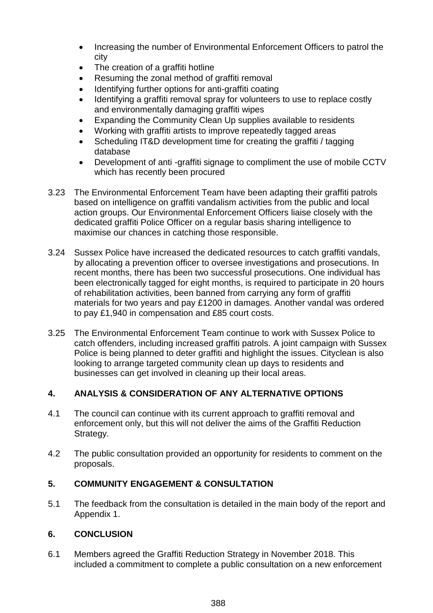- Increasing the number of Environmental Enforcement Officers to patrol the city
- The creation of a graffiti hotline
- Resuming the zonal method of graffiti removal
- Identifying further options for anti-graffiti coating
- Identifying a graffiti removal spray for volunteers to use to replace costly and environmentally damaging graffiti wipes
- Expanding the Community Clean Up supplies available to residents
- Working with graffiti artists to improve repeatedly tagged areas
- Scheduling IT&D development time for creating the graffiti / tagging database
- Development of anti -graffiti signage to compliment the use of mobile CCTV which has recently been procured
- 3.23 The Environmental Enforcement Team have been adapting their graffiti patrols based on intelligence on graffiti vandalism activities from the public and local action groups. Our Environmental Enforcement Officers liaise closely with the dedicated graffiti Police Officer on a regular basis sharing intelligence to maximise our chances in catching those responsible.
- 3.24 Sussex Police have increased the dedicated resources to catch graffiti vandals, by allocating a prevention officer to oversee investigations and prosecutions. In recent months, there has been two successful prosecutions. One individual has been electronically tagged for eight months, is required to participate in 20 hours of rehabilitation activities, been banned from carrying any form of graffiti materials for two years and pay £1200 in damages. Another vandal was ordered to pay £1,940 in compensation and £85 court costs.
- 3.25 The Environmental Enforcement Team continue to work with Sussex Police to catch offenders, including increased graffiti patrols. A joint campaign with Sussex Police is being planned to deter graffiti and highlight the issues. Cityclean is also looking to arrange targeted community clean up days to residents and businesses can get involved in cleaning up their local areas.

# **4. ANALYSIS & CONSIDERATION OF ANY ALTERNATIVE OPTIONS**

- 4.1 The council can continue with its current approach to graffiti removal and enforcement only, but this will not deliver the aims of the Graffiti Reduction Strategy.
- 4.2 The public consultation provided an opportunity for residents to comment on the proposals.

# **5. COMMUNITY ENGAGEMENT & CONSULTATION**

5.1 The feedback from the consultation is detailed in the main body of the report and Appendix 1.

# **6. CONCLUSION**

6.1 Members agreed the Graffiti Reduction Strategy in November 2018. This included a commitment to complete a public consultation on a new enforcement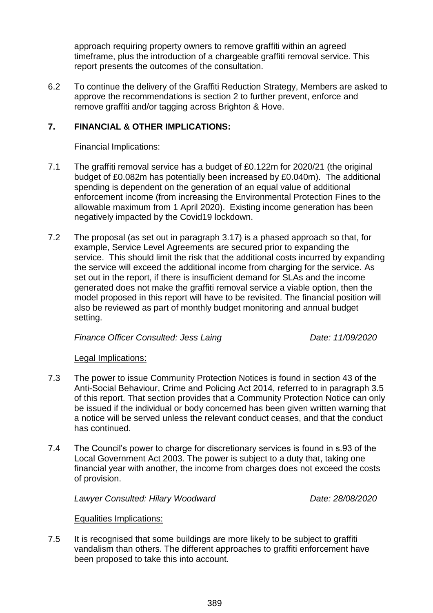approach requiring property owners to remove graffiti within an agreed timeframe, plus the introduction of a chargeable graffiti removal service. This report presents the outcomes of the consultation.

6.2 To continue the delivery of the Graffiti Reduction Strategy, Members are asked to approve the recommendations is section 2 to further prevent, enforce and remove graffiti and/or tagging across Brighton & Hove.

## **7. FINANCIAL & OTHER IMPLICATIONS:**

#### Financial Implications:

- 7.1 The graffiti removal service has a budget of £0.122m for 2020/21 (the original budget of £0.082m has potentially been increased by £0.040m). The additional spending is dependent on the generation of an equal value of additional enforcement income (from increasing the Environmental Protection Fines to the allowable maximum from 1 April 2020). Existing income generation has been negatively impacted by the Covid19 lockdown.
- 7.2 The proposal (as set out in paragraph 3.17) is a phased approach so that, for example, Service Level Agreements are secured prior to expanding the service. This should limit the risk that the additional costs incurred by expanding the service will exceed the additional income from charging for the service. As set out in the report, if there is insufficient demand for SLAs and the income generated does not make the graffiti removal service a viable option, then the model proposed in this report will have to be revisited. The financial position will also be reviewed as part of monthly budget monitoring and annual budget setting.

*Finance Officer Consulted: Jess Laing Date: 11/09/2020* 

#### Legal Implications:

- 7.3 The power to issue Community Protection Notices is found in section 43 of the Anti-Social Behaviour, Crime and Policing Act 2014, referred to in paragraph 3.5 of this report. That section provides that a Community Protection Notice can only be issued if the individual or body concerned has been given written warning that a notice will be served unless the relevant conduct ceases, and that the conduct has continued.
- 7.4 The Council's power to charge for discretionary services is found in s.93 of the Local Government Act 2003. The power is subject to a duty that, taking one financial year with another, the income from charges does not exceed the costs of provision.

*Lawyer Consulted: Hilary Woodward Date: 28/08/2020*

#### Equalities Implications:

7.5 It is recognised that some buildings are more likely to be subject to graffiti vandalism than others. The different approaches to graffiti enforcement have been proposed to take this into account.